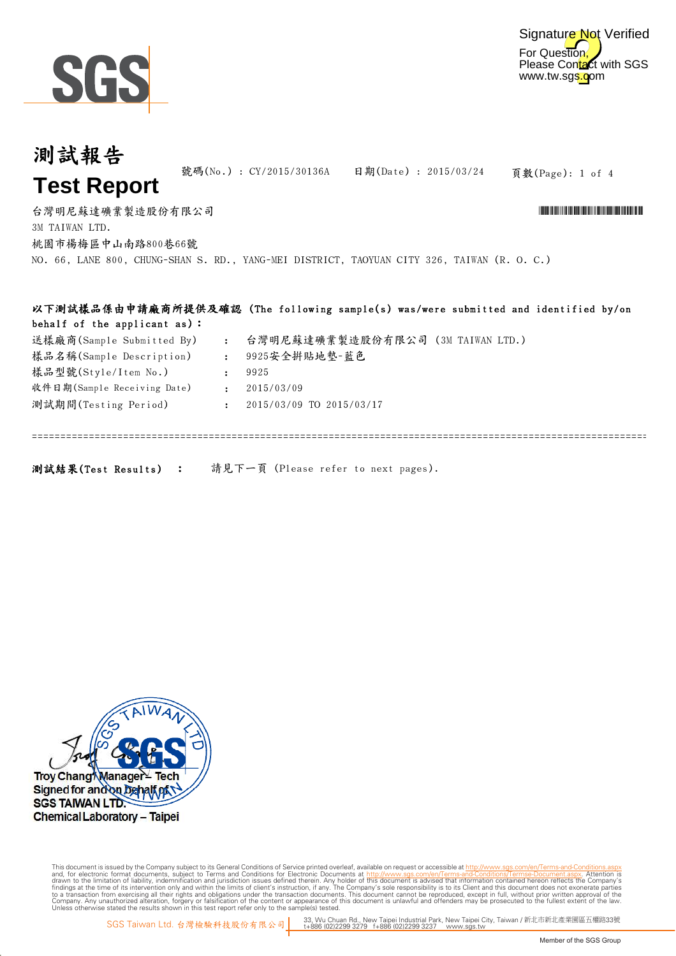

測試報告

#### 頁數(Page): 1 of 4 : : 台灣明尼蘇達礦業製造股份有限公司 \*CY/2015 \*CY/2015 \*CY/2015 \*CY/2015 \*CY/2015 \*CY/2015/2015/1915/1915/1915/1915/1915 號碼(No.) : CY/2015/30136A 日期(Date) : 2015/03/24 3M TAIWAN LTD. **Test Report** 桃園市楊梅區中山南路800巷66號 送樣廠商(Sample Submitted By) 台灣明尼蘇達礦業製造股份有限公司 (3M TAIWAN LTD.) NO. 66, LANE 800, CHUNG-SHAN S. RD., YANG-MEI DISTRICT, TAOYUAN CITY 326, TAIWAN (R. O. C.) 樣品名稱(Sample Description) 9925安全拼貼地墊-藍色 以下測試樣品係由申請廠商所提供及確認 (The following sample(s) was/were submitted and identified by/on behalf of the applicant as):

| 樣品名稱(Sample Description)    | $\mathcal{L}_{\mathcal{L}}$ | 9925安全拼貼地墊-藍色            |
|-----------------------------|-----------------------------|--------------------------|
| 樣品型號(Style/Item No.)        |                             | 9925                     |
| 收件日期(Sample Receiving Date) |                             | 2015/03/09               |
| 測試期間(Testing Period)        |                             | 2015/03/09 TO 2015/03/17 |
|                             |                             |                          |
|                             |                             |                          |

測試結果(Test Results) : 請見下一頁 (Please refer to next pages).



Digitally signed by www.wmholetech.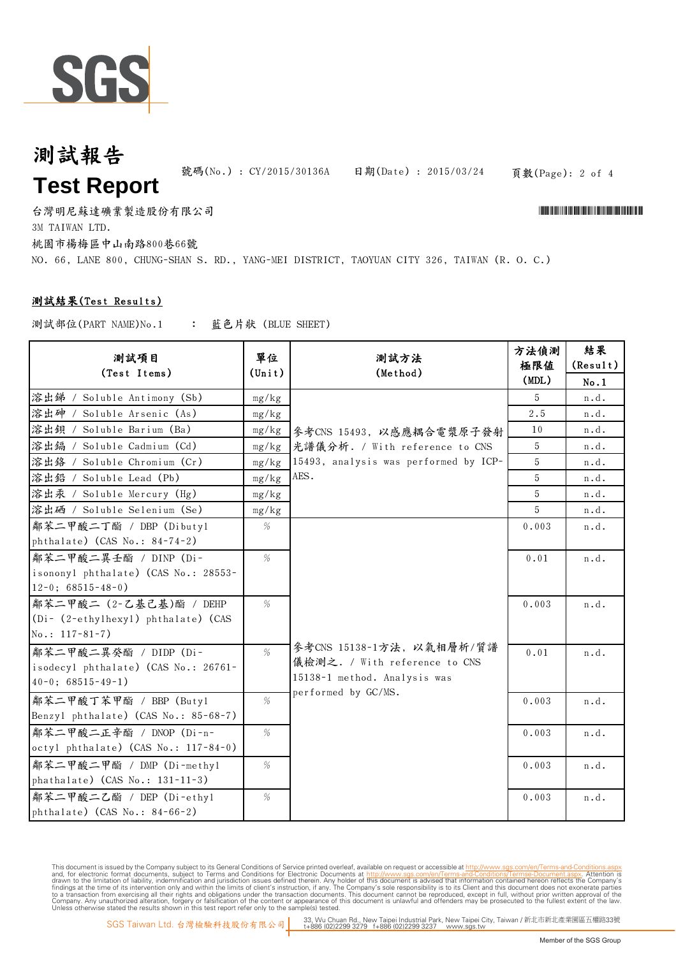

# 測試報告 **Test Report**

號碼(No.): CY/2015/30136A 日期(Date): 2015/03/24

頁數(Page): 2 of 4

台灣明尼蘇達礦業製造股份有限公司 \*CY/2015 \*CY/2015 \*CY/2015 \*CY/2015 \*CY/2015 \*CY/2015/2015/1915/1915/1915/1915/1915 3M TAIWAN LTD. 桃園市楊梅區中山南路800巷66號 NO. 66, LANE 800, CHUNG-SHAN S. RD., YANG-MEI DISTRICT, TAOYUAN CITY 326, TAIWAN (R. O. C.)

#### 測試結果(Test Results)

: 藍色片狀 (BLUE SHEET) 測試部位(PART NAME)No.1

| 測試項目<br>(Test Items)                                     | 單位<br>$(\text{Unit})$ | 測試方法<br>(Method)                                    | 方法偵測<br>極限値<br>(MDL) | 結果<br>(Result)<br>No.1 |
|----------------------------------------------------------|-----------------------|-----------------------------------------------------|----------------------|------------------------|
| 溶出锑 / Soluble Antimony (Sb)                              | mg/kg                 |                                                     | 5                    | n.d.                   |
| 溶出砷 / Soluble Arsenic (As)                               | mg/kg                 |                                                     | 2.5                  | n.d.                   |
| 溶出鋇 / Soluble Barium (Ba)                                | mg/kg                 | 參考CNS 15493, 以感應耦合電漿原子發射                            | 10                   | n.d.                   |
| 溶出编 / Soluble Cadmium (Cd)                               | mg/kg                 | 光譜儀分析. / With reference to CNS                      | 5                    | n.d.                   |
| 溶出鉻 / Soluble Chromium (Cr)                              | mg/kg                 | 15493, analysis was performed by ICP-               | 5                    | n.d.                   |
| 溶出鉛 / Soluble Lead (Pb)                                  | mg/kg                 | AES.                                                | 5                    | n.d.                   |
| 溶出汞 / Soluble Mercury (Hg)                               | mg/kg                 |                                                     | 5                    | n.d.                   |
| 溶出硒 / Soluble Selenium (Se)                              | mg/kg                 |                                                     | 5                    | n.d.                   |
| 鄰苯二甲酸二丁酯 / DBP (Dibuty1<br>phthalate) (CAS No.: 84-74-2) | %                     |                                                     | 0.003                | n.d.                   |
| 鄰苯二甲酸二異壬酯 / DINP (Di-                                    | %                     |                                                     | 0.01                 | n.d.                   |
| isononyl phthalate) (CAS No.: 28553-                     |                       |                                                     |                      |                        |
| $12-0$ ; 68515-48-0)                                     |                       |                                                     |                      |                        |
| 鄰苯二甲酸二 (2-乙基己基)酯 / DEHP                                  | %                     |                                                     | 0.003                | n.d.                   |
| (Di- (2-ethylhexyl) phthalate) (CAS                      |                       |                                                     |                      |                        |
| $No.: 117-81-7)$                                         |                       |                                                     |                      |                        |
| 鄰苯二甲酸二異癸酯 / DIDP (Di-                                    | %                     | 參考CNS 15138-1方法, 以氣相層析/質譜                           | 0.01                 | n.d.                   |
| isodecyl phthalate) (CAS No.: 26761-                     |                       | 儀檢測之. / With reference to CNS                       |                      |                        |
| $40-0$ ; 68515-49-1)                                     |                       | 15138-1 method. Analysis was<br>performed by GC/MS. |                      |                        |
| 鄰苯二甲酸丁苯甲酯 / BBP (Butyl                                   | %                     |                                                     | 0.003                | n.d.                   |
| Benzyl phthalate) (CAS No.: 85-68-7)                     |                       |                                                     |                      |                        |
| 鄰苯二甲酸二正辛酯 / DNOP (Di-n-                                  | %                     |                                                     | 0.003                | n.d.                   |
| octyl phthalate) (CAS No.: 117-84-0)                     |                       |                                                     |                      |                        |
| 鄰苯二甲酸二甲酯 / DMP (Di-methyl                                | $\%$                  |                                                     | 0.003                | n.d.                   |
| phathalate) (CAS No.: 131-11-3)                          |                       |                                                     |                      |                        |
| 鄰苯二甲酸二乙酯 / DEP (Di-ethyl                                 | $\%$                  |                                                     | 0.003                | n.d.                   |
| phthalate) (CAS No.: 84-66-2)                            |                       |                                                     |                      |                        |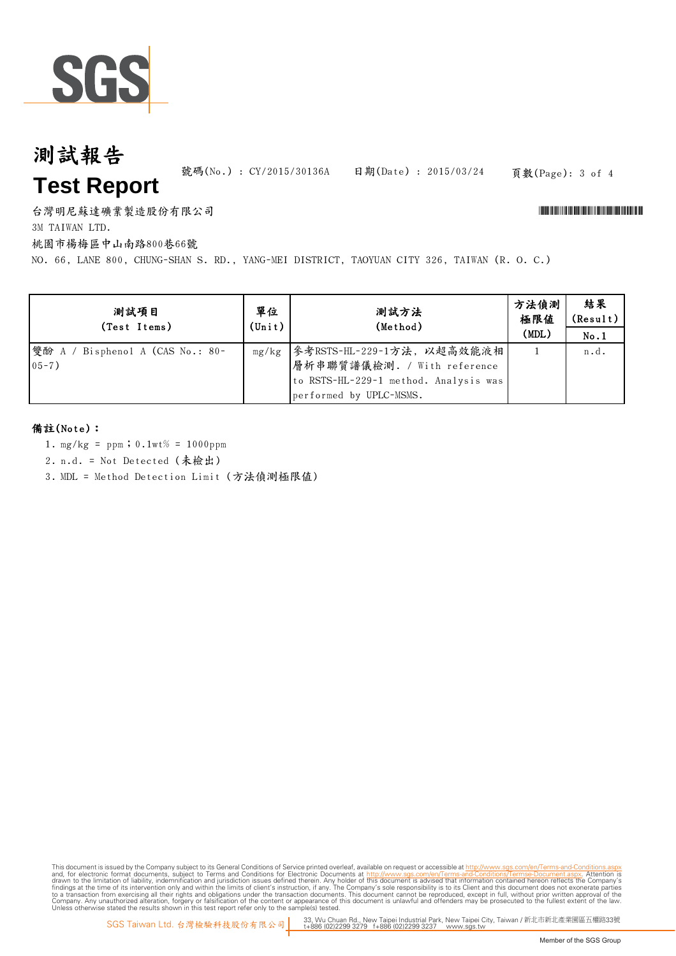

# 測試報告 **Test Report**

號碼(No.) : CY/2015/30136A 日期(Date) : 2015/03/24

#### 頁數(Page): 3 of 4

台灣明尼蘇達礦業製造股份有限公司 \*CY/2015 \*CY/2015 \*CY/2015 \*CY/2015 \*CY/2015 \*CY/2015/2015/1915/1915/1915/1915/1915

3M TAIWAN LTD.

桃園市楊梅區中山南路800巷66號

NO. 66, LANE 800, CHUNG-SHAN S. RD., YANG-MEI DISTRICT, TAOYUAN CITY 326, TAIWAN (R. O. C.)

| 測試項目<br>(Test Items)                         | 單位<br>$(\text{Unit})$ | 測試方法<br>(Method)                                                                                                                      | 方法偵測<br>極限値<br>(MDL) | 結果<br>(Result)<br>No.1 |
|----------------------------------------------|-----------------------|---------------------------------------------------------------------------------------------------------------------------------------|----------------------|------------------------|
| 雙酚 A / Bisphenol A (CAS No.: 80-<br>$05 - 7$ |                       | mg/kg   參考RSTS-HL-229-1方法, 以超高效能液相<br>層析串聯質譜儀檢測. / With reference<br>to RSTS-HL-229-1 method. Analysis was<br>performed by UPLC-MSMS. |                      | n.d.                   |

#### 備註(Note):

- 1. mg/kg = ppm;0.1wt% = 1000ppm
- 2. n.d. = Not Detected (未檢出)
- 3. MDL = Method Detection Limit (方法偵測極限值)